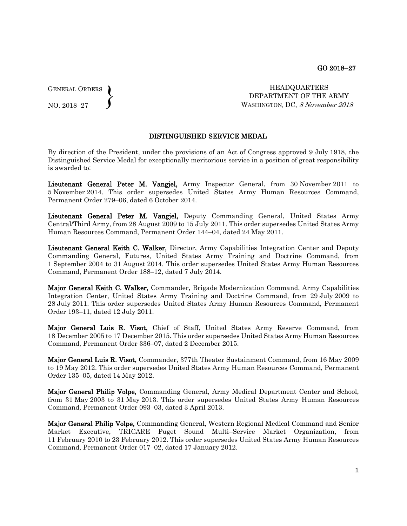GENERAL ORDERS  $\left\{ \right\}$ 

NO. 2018–27

 HEADQUARTERS DEPARTMENT OF THE ARMY WASHINGTON, DC, 8 November 2018

## DISTINGUISHED SERVICE MEDAL

By direction of the President, under the provisions of an Act of Congress approved 9 July 1918, the Distinguished Service Medal for exceptionally meritorious service in a position of great responsibility is awarded to:

Lieutenant General Peter M. Vangjel, Army Inspector General, from 30 November 2011 to 5 November 2014. This order supersedes United States Army Human Resources Command, Permanent Order 279–06, dated 6 October 2014.

Lieutenant General Peter M. Vangjel, Deputy Commanding General, United States Army Central/Third Army, from 28 August 2009 to 15 July 2011. This order supersedes United States Army Human Resources Command, Permanent Order 144–04, dated 24 May 2011.

Lieutenant General Keith C. Walker, Director, Army Capabilities Integration Center and Deputy Commanding General, Futures, United States Army Training and Doctrine Command, from 1 September 2004 to 31 August 2014. This order supersedes United States Army Human Resources Command, Permanent Order 188–12, dated 7 July 2014.

Major General Keith C. Walker, Commander, Brigade Modernization Command, Army Capabilities Integration Center, United States Army Training and Doctrine Command, from 29 July 2009 to 28 July 2011. This order supersedes United States Army Human Resources Command, Permanent Order 193–11, dated 12 July 2011.

Major General Luis R. Visot, Chief of Staff, United States Army Reserve Command, from 18 December 2005 to 17 December 2015. This order supersedes United States Army Human Resources Command, Permanent Order 336–07, dated 2 December 2015.

Major General Luis R. Visot, Commander, 377th Theater Sustainment Command, from 16 May 2009 to 19 May 2012. This order supersedes United States Army Human Resources Command, Permanent Order 135–05, dated 14 May 2012.

Major General Philip Volpe, Commanding General, Army Medical Department Center and School, from 31 May 2003 to 31 May 2013. This order supersedes United States Army Human Resources Command, Permanent Order 093–03, dated 3 April 2013.

Major General Philip Volpe, Commanding General, Western Regional Medical Command and Senior Market Executive, TRICARE Puget Sound Multi–Service Market Organization, from 11 February 2010 to 23 February 2012. This order supersedes United States Army Human Resources Command, Permanent Order 017–02, dated 17 January 2012.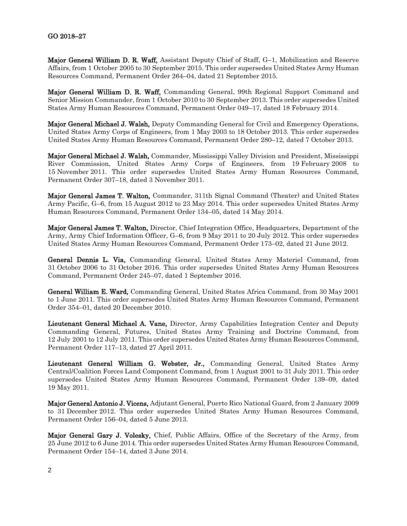Major General William D. R. Waff, Assistant Deputy Chief of Staff, G–1, Mobilization and Reserve Affairs, from 1 October 2005 to 30 September 2015. This order supersedes United States Army Human Resources Command, Permanent Order 264–04, dated 21 September 2015.

Major General William D. R. Waff, Commanding General, 99th Regional Support Command and Senior Mission Commander, from 1 October 2010 to 30 September 2013. This order supersedes United States Army Human Resources Command, Permanent Order 049–17, dated 18 February 2014.

Major General Michael J. Walsh, Deputy Commanding General for Civil and Emergency Operations, United States Army Corps of Engineers, from 1 May 2003 to 18 October 2013. This order supersedes United States Army Human Resources Command, Permanent Order 280–12, dated 7 October 2013.

Major General Michael J. Walsh, Commander, Mississippi Valley Division and President, Mississippi River Commission, United States Army Corps of Engineers, from 19 February 2008 to 15 November 2011. This order supersedes United States Army Human Resources Command, Permanent Order 307–18, dated 3 November 2011.

Major General James T. Walton, Commander, 311th Signal Command (Theater) and United States Army Pacific, G–6, from 15 August 2012 to 23 May 2014. This order supersedes United States Army Human Resources Command, Permanent Order 134–05, dated 14 May 2014.

Major General James T. Walton, Director, Chief Integration Office, Headquarters, Department of the Army, Army Chief Information Officer, G–6, from 9 May 2011 to 20 July 2012. This order supersedes United States Army Human Resources Command, Permanent Order 173–02, dated 21 June 2012.

General Dennis L. Via, Commanding General, United States Army Materiel Command, from 31 October 2006 to 31 October 2016. This order supersedes United States Army Human Resources Command, Permanent Order 245–07, dated 1 September 2016.

General William E. Ward, Commanding General, United States Africa Command, from 30 May 2001 to 1 June 2011. This order supersedes United States Army Human Resources Command, Permanent Order 354–01, dated 20 December 2010.

Lieutenant General Michael A. Vane, Director, Army Capabilities Integration Center and Deputy Commanding General, Futures, United States Army Training and Doctrine Command, from 12 July 2001 to 12 July 2011. This order supersedes United States Army Human Resources Command, Permanent Order 117–13, dated 27 April 2011.

Lieutenant General William G. Webster, Jr., Commanding General, United States Army Central/Coalition Forces Land Component Command, from 1 August 2001 to 31 July 2011. This order supersedes United States Army Human Resources Command, Permanent Order 139–09, dated 19 May 2011.

Major General Antonio J. Vicens, Adjutant General, Puerto Rico National Guard, from 2 January 2009 to 31 December 2012. This order supersedes United States Army Human Resources Command, Permanent Order 156–04, dated 5 June 2013.

Major General Gary J. Volesky, Chief, Public Affairs, Office of the Secretary of the Army, from 25 June 2012 to 6 June 2014. This order supersedes United States Army Human Resources Command, Permanent Order 154–14, dated 3 June 2014.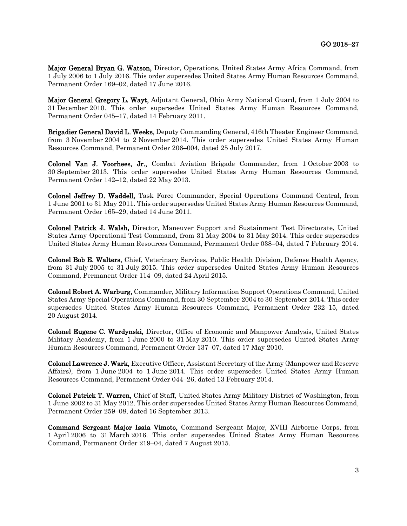Major General Bryan G. Watson, Director, Operations, United States Army Africa Command, from 1 July 2006 to 1 July 2016. This order supersedes United States Army Human Resources Command, Permanent Order 169–02, dated 17 June 2016.

Major General Gregory L. Wayt, Adjutant General, Ohio Army National Guard, from 1 July 2004 to 31 December 2010. This order supersedes United States Army Human Resources Command, Permanent Order 045–17, dated 14 February 2011.

Brigadier General David L. Weeks, Deputy Commanding General, 416th Theater Engineer Command, from 3 November 2004 to 2 November 2014. This order supersedes United States Army Human Resources Command, Permanent Order 206–004, dated 25 July 2017.

Colonel Van J. Voorhees, Jr., Combat Aviation Brigade Commander, from 1 October 2003 to 30 September 2013. This order supersedes United States Army Human Resources Command, Permanent Order 142–12, dated 22 May 2013.

Colonel Jeffrey D. Waddell, Task Force Commander, Special Operations Command Central, from 1 June 2001 to 31 May 2011. This order supersedes United States Army Human Resources Command, Permanent Order 165–29, dated 14 June 2011.

Colonel Patrick J. Walsh, Director, Maneuver Support and Sustainment Test Directorate, United States Army Operational Test Command, from 31 May 2004 to 31 May 2014. This order supersedes United States Army Human Resources Command, Permanent Order 038–04, dated 7 February 2014.

Colonel Bob E. Walters, Chief, Veterinary Services, Public Health Division, Defense Health Agency, from 31 July 2005 to 31 July 2015. This order supersedes United States Army Human Resources Command, Permanent Order 114–09, dated 24 April 2015.

Colonel Robert A. Warburg, Commander, Military Information Support Operations Command, United States Army Special Operations Command, from 30 September 2004 to 30 September 2014. This order supersedes United States Army Human Resources Command, Permanent Order 232–15, dated 20 August 2014.

Colonel Eugene C. Wardynski, Director, Office of Economic and Manpower Analysis, United States Military Academy, from 1 June 2000 to 31 May 2010. This order supersedes United States Army Human Resources Command, Permanent Order 137–07, dated 17 May 2010.

Colonel Lawrence J. Wark, Executive Officer, Assistant Secretary of the Army (Manpower and Reserve Affairs), from 1 June 2004 to 1 June 2014. This order supersedes United States Army Human Resources Command, Permanent Order 044–26, dated 13 February 2014.

Colonel Patrick T. Warren, Chief of Staff, United States Army Military District of Washington, from 1 June 2002 to 31 May 2012. This order supersedes United States Army Human Resources Command, Permanent Order 259–08, dated 16 September 2013.

Command Sergeant Major Isaia Vimoto, Command Sergeant Major, XVIII Airborne Corps, from 1 April 2006 to 31 March 2016. This order supersedes United States Army Human Resources Command, Permanent Order 219–04, dated 7 August 2015.